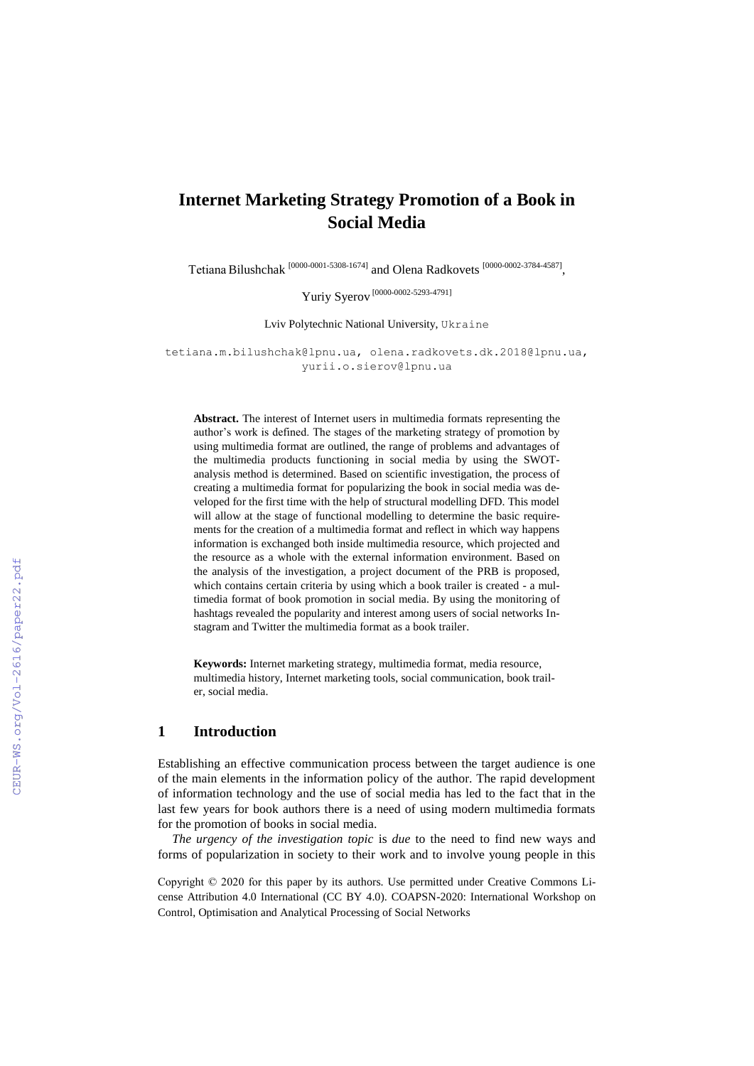# **Internet Marketing Strategy Promotion of a Book in Social Media**

Tetiana Bilushchak <sup>[0000-0001-5308-1674]</sup> and Olena Radkovets <sup>[0000-0002-3784-4587]</sup>,

Yuriy Syerov [0000-0002-5293-4791]

Lviv Polytechnic National University, Ukraine

[tetiana.m.bilushchak@lpnu.ua,](mailto:tetiana.m.bilushchak@lpnu.ua) [olena.radkovets.dk.2018@lpnu.ua,](mailto:olena.radkovets.dk.2018@lpnu.ua) yurii.o.sierov@lpnu.ua

**Abstract.** The interest of Internet users in multimedia formats representing the author's work is defined. The stages of the marketing strategy of promotion by using multimedia format are outlined, the range of problems and advantages of the multimedia products functioning in social media by using the SWOTanalysis method is determined. Based on scientific investigation, the process of creating a multimedia format for popularizing the book in social media was developed for the first time with the help of structural modelling DFD. This model will allow at the stage of functional modelling to determine the basic requirements for the creation of a multimedia format and reflect in which way happens information is exchanged both inside multimedia resource, which projected and the resource as a whole with the external information environment. Based on the analysis of the investigation, a project document of the PRB is proposed, which contains certain criteria by using which a book trailer is created - a multimedia format of book promotion in social media. By using the monitoring of hashtags revealed the popularity and interest among users of social networks Instagram and Twitter the multimedia format as a book trailer.

**Keywords:** Internet marketing strategy, multimedia format, media resource, multimedia history, Internet marketing tools, social communication, book trailer, social media.

### **1 Introduction**

Establishing an effective communication process between the target audience is one of the main elements in the information policy of the author. The rapid development of information technology and the use of social media has led to the fact that in the last few years for book authors there is a need of using modern multimedia formats for the promotion of books in social media.

*The urgency of the investigation topic* is *due* to the need to find new ways and forms of popularization in society to their work and to involve young people in this

Copyright © 2020 for this paper by its authors. Use permitted under Creative Commons License Attribution 4.0 International (CC BY 4.0). COAPSN-2020: International Workshop on Control, Optimisation and Analytical Processing of Social Networks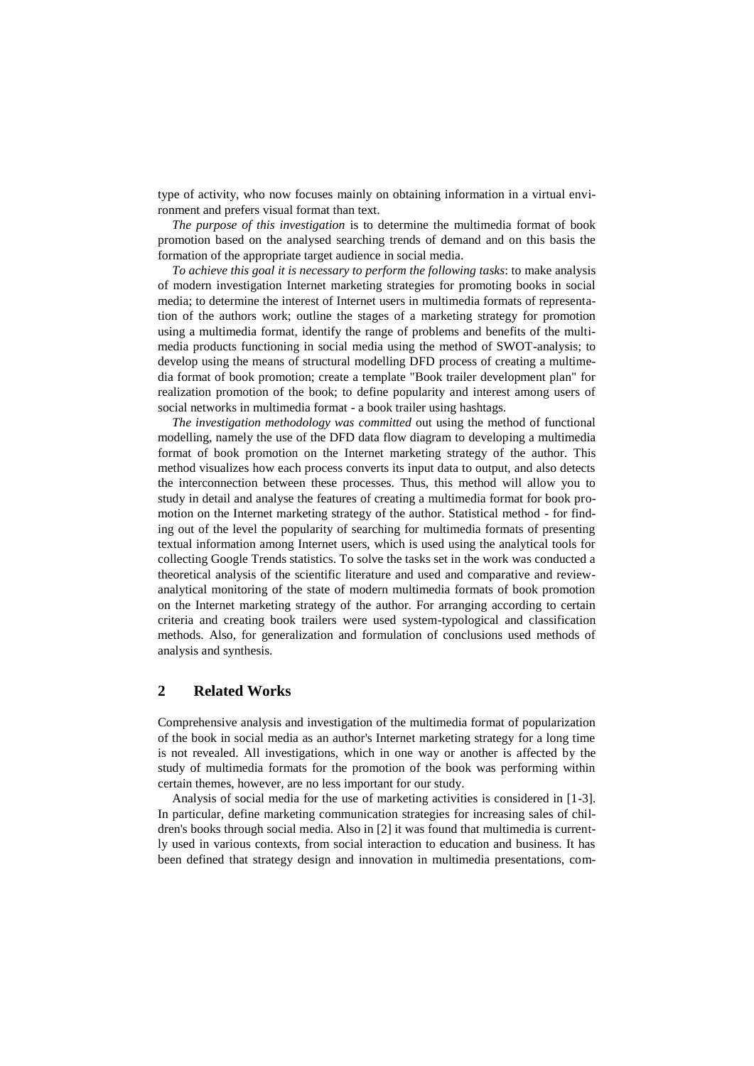type of activity, who now focuses mainly on obtaining information in a virtual environment and prefers visual format than text.

*The purpose of this investigation* is to determine the multimedia format of book promotion based on the analysed searching trends of demand and on this basis the formation of the appropriate target audience in social media.

*To achieve this goal it is necessary to perform the following tasks*: to make analysis of modern investigation Internet marketing strategies for promoting books in social media; to determine the interest of Internet users in multimedia formats of representation of the authors work; outline the stages of a marketing strategy for promotion using a multimedia format, identify the range of problems and benefits of the multimedia products functioning in social media using the method of SWOT-analysis; to develop using the means of structural modelling DFD process of creating a multimedia format of book promotion; create a template "Book trailer development plan" for realization promotion of the book; to define popularity and interest among users of social networks in multimedia format - a book trailer using hashtags.

*The investigation methodology was committed* out using the method of functional modelling, namely the use of the DFD data flow diagram to developing a multimedia format of book promotion on the Internet marketing strategy of the author. This method visualizes how each process converts its input data to output, and also detects the interconnection between these processes. Thus, this method will allow you to study in detail and analyse the features of creating a multimedia format for book promotion on the Internet marketing strategy of the author. Statistical method - for finding out of the level the popularity of searching for multimedia formats of presenting textual information among Internet users, which is used using the analytical tools for collecting Google Trends statistics. To solve the tasks set in the work was conducted a theoretical analysis of the scientific literature and used and comparative and reviewanalytical monitoring of the state of modern multimedia formats of book promotion on the Internet marketing strategy of the author. For arranging according to certain criteria and creating book trailers were used system-typological and classification methods. Also, for generalization and formulation of conclusions used methods of analysis and synthesis.

### **2 Related Works**

Comprehensive analysis and investigation of the multimedia format of popularization of the book in social media as an author's Internet marketing strategy for a long time is not revealed. All investigations, which in one way or another is affected by the study of multimedia formats for the promotion of the book was performing within certain themes, however, are no less important for our study.

Analysis of social media for the use of marketing activities is considered in [1-3]. In particular, define marketing communication strategies for increasing sales of children's books through social media. Also in [2] it was found that multimedia is currently used in various contexts, from social interaction to education and business. It has been defined that strategy design and innovation in multimedia presentations, com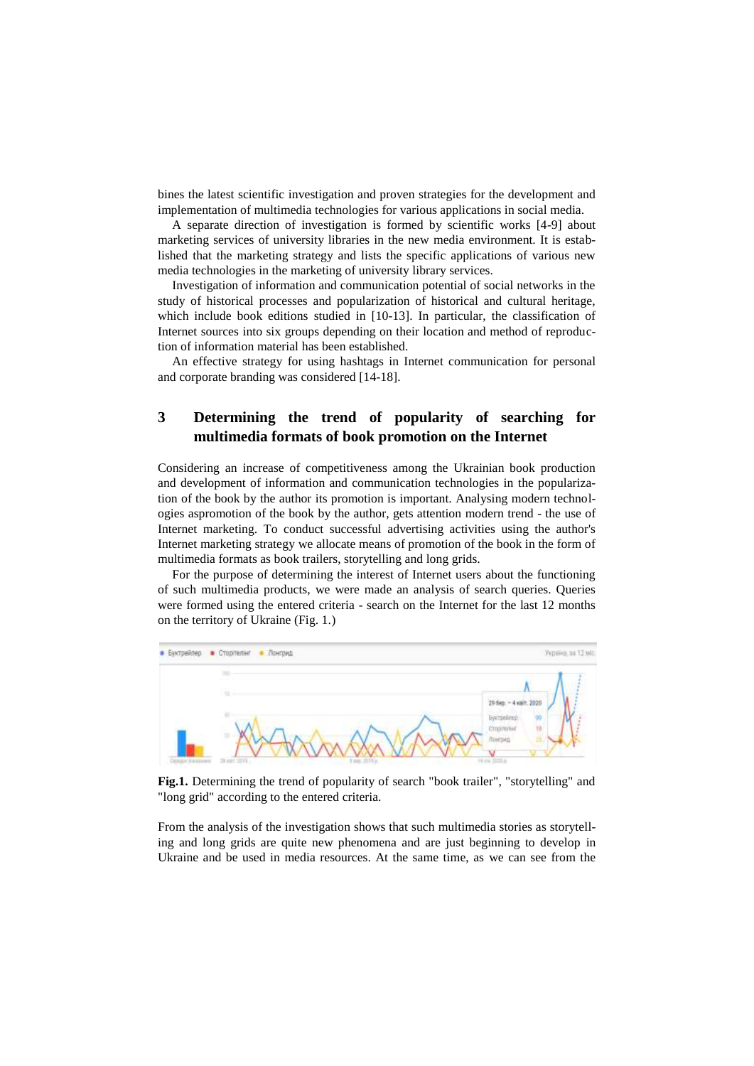bines the latest scientific investigation and proven strategies for the development and implementation of multimedia technologies for various applications in social media.

A separate direction of investigation is formed by scientific works [4-9] about marketing services of university libraries in the new media environment. It is established that the marketing strategy and lists the specific applications of various new media technologies in the marketing of university library services.

Investigation of information and communication potential of social networks in the study of historical processes and popularization of historical and cultural heritage, which include book editions studied in [10-13]. In particular, the classification of Internet sources into six groups depending on their location and method of reproduction of information material has been established.

An effective strategy for using hashtags in Internet communication for personal and corporate branding was considered [14-18].

## **3 Determining the trend of popularity of searching for multimedia formats of book promotion on the Internet**

Considering an increase of competitiveness among the Ukrainian book production and development of information and communication technologies in the popularization of the book by the author its promotion is important. Analysing modern technologies aspromotion of the book by the author, gets attention modern trend - the use of Internet marketing. To conduct successful advertising activities using the author's Internet marketing strategy we allocate means of promotion of the book in the form of multimedia formats as book trailers, storytelling and long grids.

For the purpose of determining the interest of Internet users about the functioning of such multimedia products, we were made an analysis of search queries. Queries were formed using the entered criteria - search on the Internet for the last 12 months on the territory of Ukraine (Fig. 1.)



Fig.1. Determining the trend of popularity of search "book trailer", "storytelling" and "long grid" according to the entered criteria.

From the analysis of the investigation shows that such multimedia stories as storytelling and long grids are quite new phenomena and are just beginning to develop in Ukraine and be used in media resources. At the same time, as we can see from the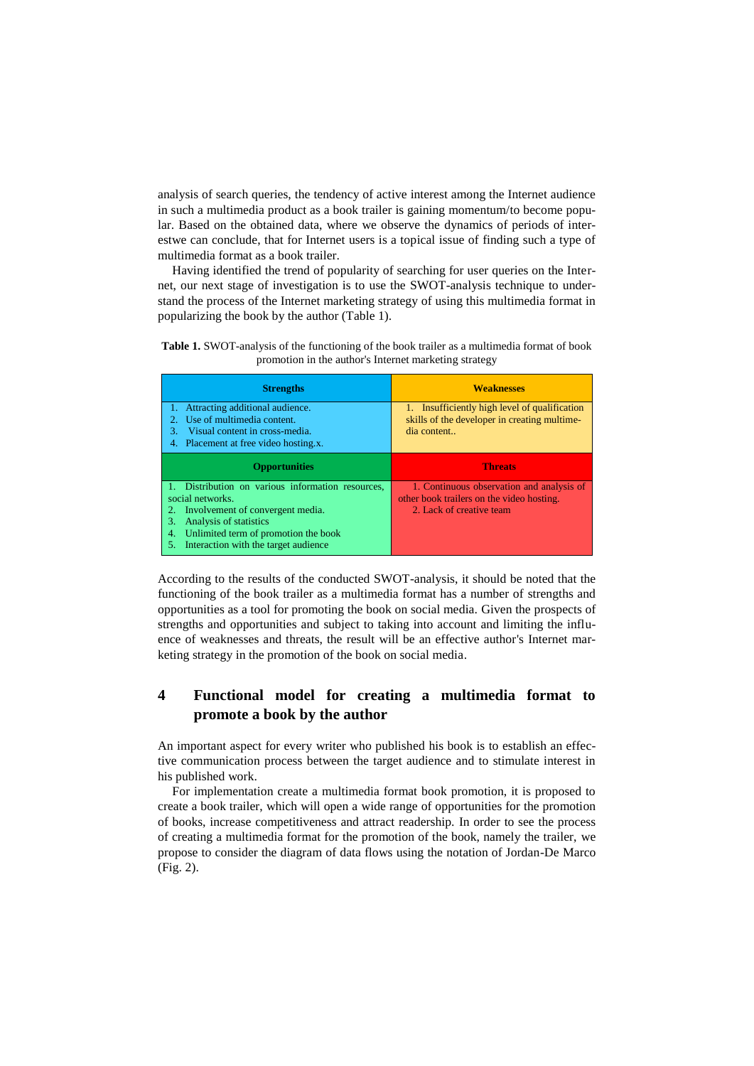analysis of search queries, the tendency of active interest among the Internet audience in such a multimedia product as a book trailer is gaining momentum/to become popular. Based on the obtained data, where we observe the dynamics of periods of interestwe can conclude, that for Internet users is a topical issue of finding such a type of multimedia format as a book trailer.

Having identified the trend of popularity of searching for user queries on the Internet, our next stage of investigation is to use the SWOT-analysis technique to understand the process of the Internet marketing strategy of using this multimedia format in popularizing the book by the author (Table 1).

**Table 1.** SWOT-analysis of the functioning of the book trailer as a multimedia format of book promotion in the author's Internet marketing strategy

| <b>Strengths</b>                                                           | <b>Weaknesses</b>                                                                             |  |
|----------------------------------------------------------------------------|-----------------------------------------------------------------------------------------------|--|
| Attracting additional audience.<br>Use of multimedia content.              | 1. Insufficiently high level of qualification<br>skills of the developer in creating multime- |  |
| Visual content in cross-media.<br>3.                                       | dia content                                                                                   |  |
| 4. Placement at free video hosting.x.                                      |                                                                                               |  |
|                                                                            | <b>Threats</b>                                                                                |  |
| <b>Opportunities</b>                                                       |                                                                                               |  |
| 1. Distribution on various information resources,                          | 1. Continuous observation and analysis of                                                     |  |
| social networks.                                                           | other book trailers on the video hosting.                                                     |  |
| Involvement of convergent media.                                           | 2. Lack of creative team                                                                      |  |
| Analysis of statistics<br>3.<br>Unlimited term of promotion the book<br>4. |                                                                                               |  |

According to the results of the conducted SWOT-analysis, it should be noted that the functioning of the book trailer as a multimedia format has a number of strengths and opportunities as a tool for promoting the book on social media. Given the prospects of strengths and opportunities and subject to taking into account and limiting the influence of weaknesses and threats, the result will be an effective author's Internet marketing strategy in the promotion of the book on social media.

# **4 Functional model for creating a multimedia format to promote a book by the author**

An important aspect for every writer who published his book is to establish an effective communication process between the target audience and to stimulate interest in his published work.

For implementation create a multimedia format book promotion, it is proposed to create a book trailer, which will open a wide range of opportunities for the promotion of books, increase competitiveness and attract readership. In order to see the process of creating a multimedia format for the promotion of the book, namely the trailer, we propose to consider the diagram of data flows using the notation of Jordan-De Marco (Fig. 2).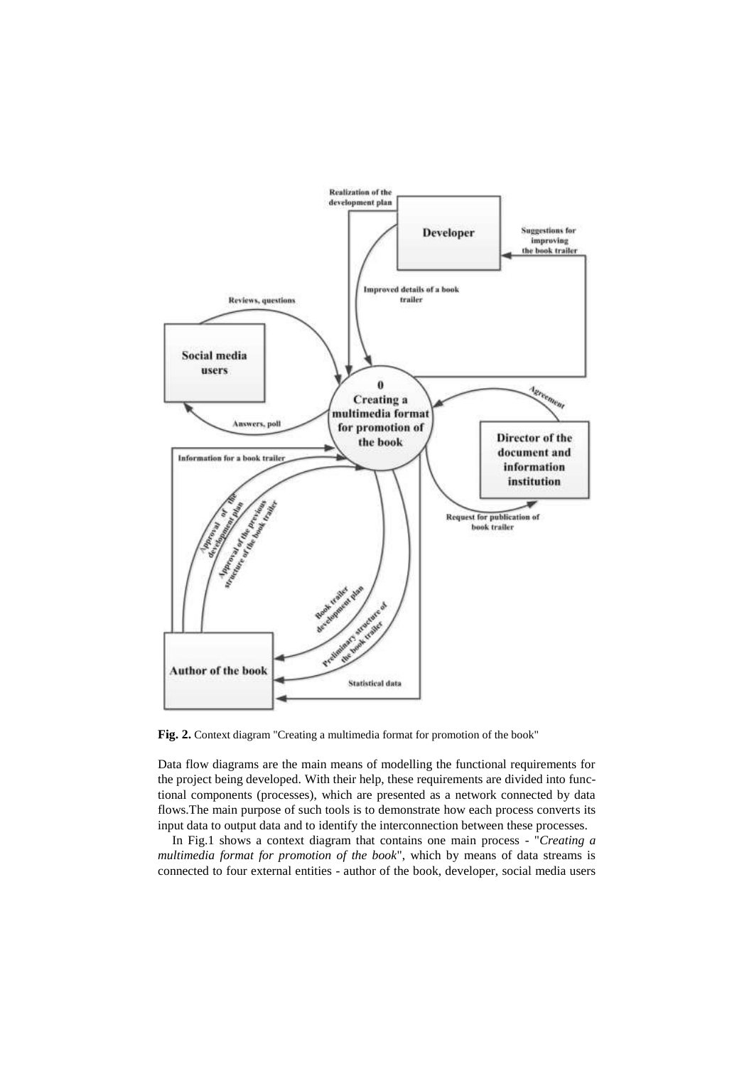

**Fig. 2.** Context diagram "Creating a multimedia format for promotion of the book"

Data flow diagrams are the main means of modelling the functional requirements for the project being developed. With their help, these requirements are divided into functional components (processes), which are presented as a network connected by data flows.The main purpose of such tools is to demonstrate how each process converts its input data to output data and to identify the interconnection between these processes.

In Fig.1 shows a context diagram that contains one main process - "*Creating a multimedia format for promotion of the book*", which by means of data streams is connected to four external entities - author of the book, developer, social media users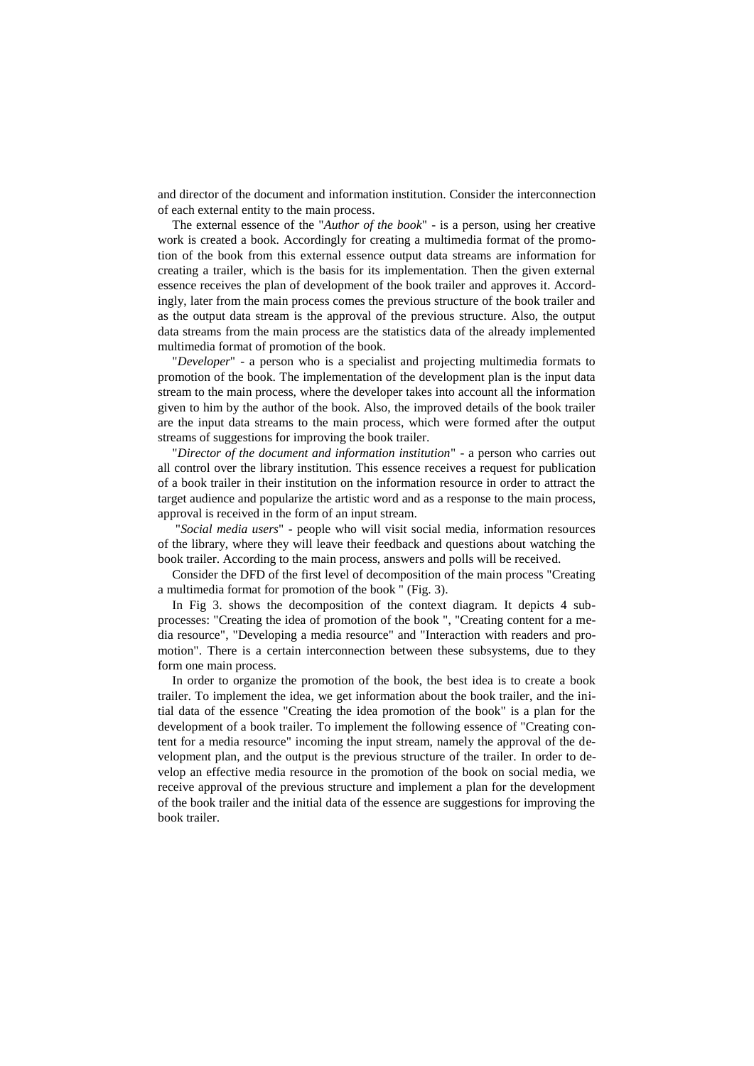and director of the document and information institution. Consider the interconnection of each external entity to the main process.

The external essence of the "*Author of the book*" - is a person, using her creative work is created a book. Accordingly for creating a multimedia format of the promotion of the book from this external essence output data streams are information for creating a trailer, which is the basis for its implementation. Then the given external essence receives the plan of development of the book trailer and approves it. Accordingly, later from the main process comes the previous structure of the book trailer and as the output data stream is the approval of the previous structure. Also, the output data streams from the main process are the statistics data of the already implemented multimedia format of promotion of the book.

"*Developer*" - a person who is a specialist and projecting multimedia formats to promotion of the book. The implementation of the development plan is the input data stream to the main process, where the developer takes into account all the information given to him by the author of the book. Also, the improved details of the book trailer are the input data streams to the main process, which were formed after the output streams of suggestions for improving the book trailer.

"*Director of the document and information institution*" - a person who carries out all control over the library institution. This essence receives a request for publication of a book trailer in their institution on the information resource in order to attract the target audience and popularize the artistic word and as a response to the main process, approval is received in the form of an input stream.

"*Social media users*" - people who will visit social media, information resources of the library, where they will leave their feedback and questions about watching the book trailer. According to the main process, answers and polls will be received.

Consider the DFD of the first level of decomposition of the main process "Creating a multimedia format for promotion of the book " (Fig. 3).

In Fig 3. shows the decomposition of the context diagram. It depicts 4 subprocesses: "Creating the idea of promotion of the book ", "Creating content for a media resource", "Developing a media resource" and "Interaction with readers and promotion". There is a certain interconnection between these subsystems, due to they form one main process.

In order to organize the promotion of the book, the best idea is to create a book trailer. To implement the idea, we get information about the book trailer, and the initial data of the essence "Creating the idea promotion of the book" is a plan for the development of a book trailer. To implement the following essence of "Creating content for a media resource" incoming the input stream, namely the approval of the development plan, and the output is the previous structure of the trailer. In order to develop an effective media resource in the promotion of the book on social media, we receive approval of the previous structure and implement a plan for the development of the book trailer and the initial data of the essence are suggestions for improving the book trailer.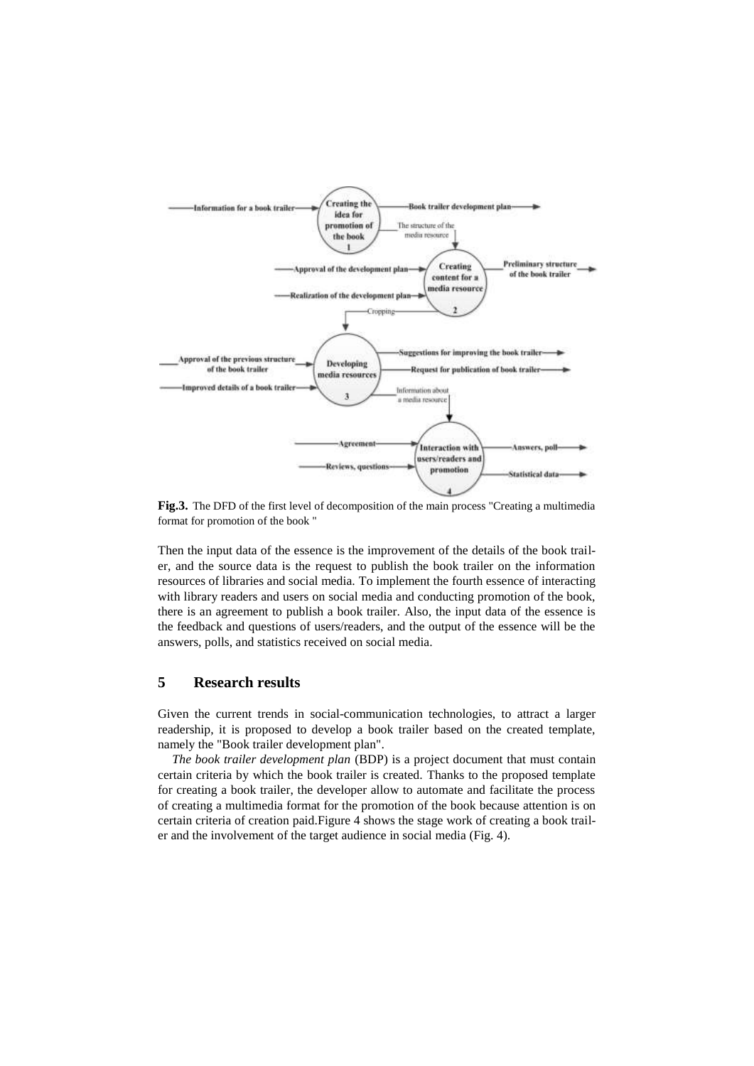

**Fig.3.** The DFD of the first level of decomposition of the main process "Creating a multimedia format for promotion of the book "

Then the input data of the essence is the improvement of the details of the book trailer, and the source data is the request to publish the book trailer on the information resources of libraries and social media. To implement the fourth essence of interacting with library readers and users on social media and conducting promotion of the book, there is an agreement to publish a book trailer. Also, the input data of the essence is the feedback and questions of users/readers, and the output of the essence will be the answers, polls, and statistics received on social media.

### **5 Research results**

Given the current trends in social-communication technologies, to attract a larger readership, it is proposed to develop a book trailer based on the created template, namely the "Book trailer development plan".

*The book trailer development plan* (BDP) is a project document that must contain certain criteria by which the book trailer is created. Thanks to the proposed template for creating a book trailer, the developer allow to automate and facilitate the process of creating a multimedia format for the promotion of the book because attention is on certain criteria of creation paid.Figure 4 shows the stage work of creating a book trailer and the involvement of the target audience in social media (Fig. 4).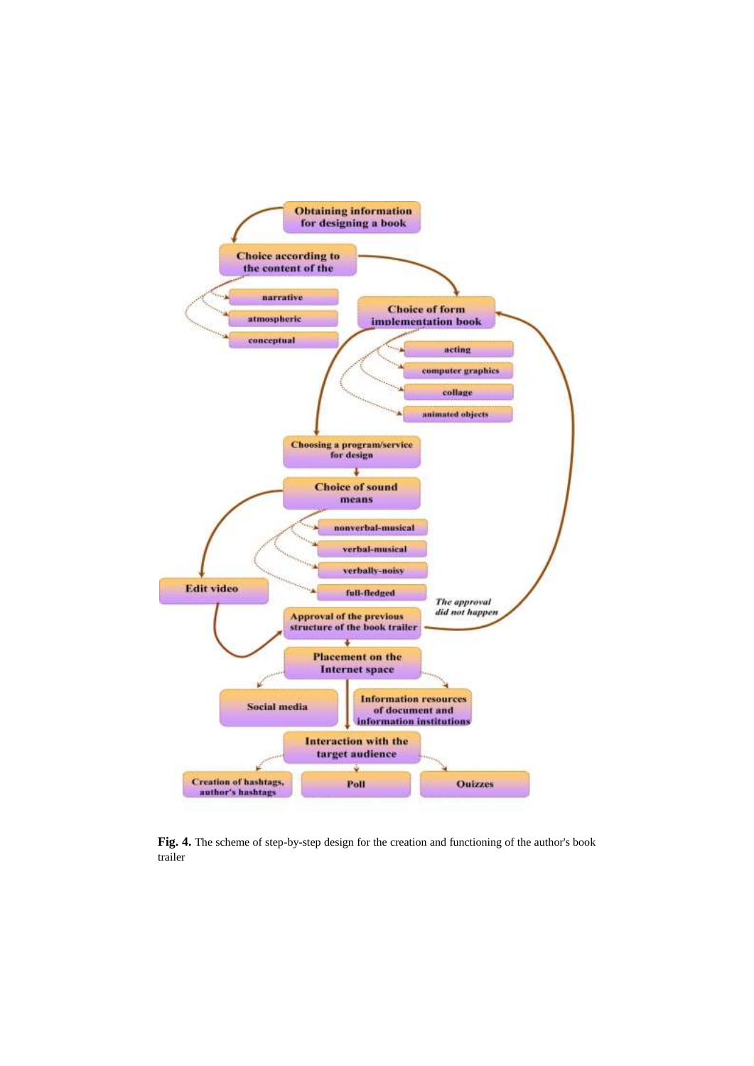

**Fig. 4.** The scheme of step-by-step design for the creation and functioning of the author's book trailer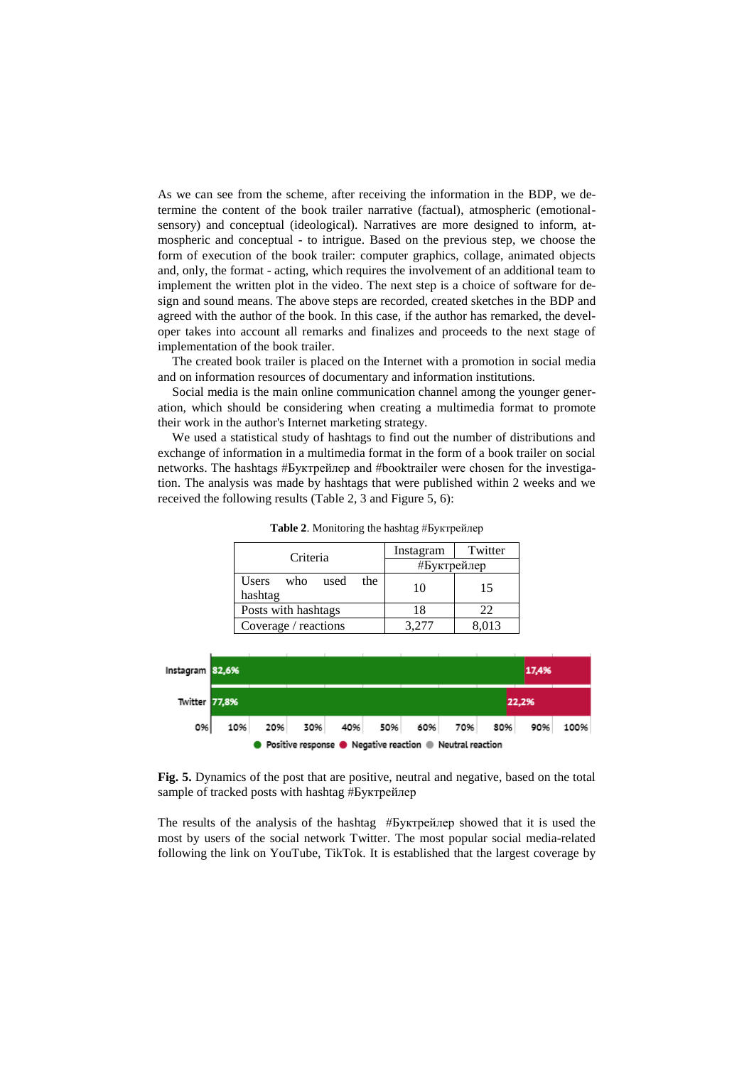As we can see from the scheme, after receiving the information in the BDP, we determine the content of the book trailer narrative (factual), atmospheric (emotionalsensory) and conceptual (ideological). Narratives are more designed to inform, atmospheric and conceptual - to intrigue. Based on the previous step, we choose the form of execution of the book trailer: computer graphics, collage, animated objects and, only, the format - acting, which requires the involvement of an additional team to implement the written plot in the video. The next step is a choice of software for design and sound means. The above steps are recorded, created sketches in the BDP and agreed with the author of the book. In this case, if the author has remarked, the developer takes into account all remarks and finalizes and proceeds to the next stage of implementation of the book trailer.

The created book trailer is placed on the Internet with a promotion in social media and on information resources of documentary and information institutions.

Social media is the main online communication channel among the younger generation, which should be considering when creating a multimedia format to promote their work in the author's Internet marketing strategy.

We used a statistical study of hashtags to find out the number of distributions and exchange of information in a multimedia format in the form of a book trailer on social networks. The hashtags #Буктрейлер and #booktrailer were chosen for the investigation. The analysis was made by hashtags that were published within 2 weeks and we received the following results (Table 2, 3 and Figure 5, 6):

| Criteria                            | Twitter<br>Instagram |  |
|-------------------------------------|----------------------|--|
|                                     | #Буктрейлер          |  |
| Users who<br>used<br>the<br>hashtag | 15<br>10             |  |
| Posts with hashtags                 | 22<br>18             |  |
| Coverage / reactions                | 8.013<br>3.277       |  |

**Table 2**. Monitoring the hashtag #Буктрейлер



**Fig. 5.** Dynamics of the post that are positive, neutral and negative, based on the total sample of tracked posts with hashtag #Буктрейлер

The results of the analysis of the hashtag #Буктрейлер showed that it is used the most by users of the social network Twitter. The most popular social media-related following the link on YouTube, TikTok. It is established that the largest coverage by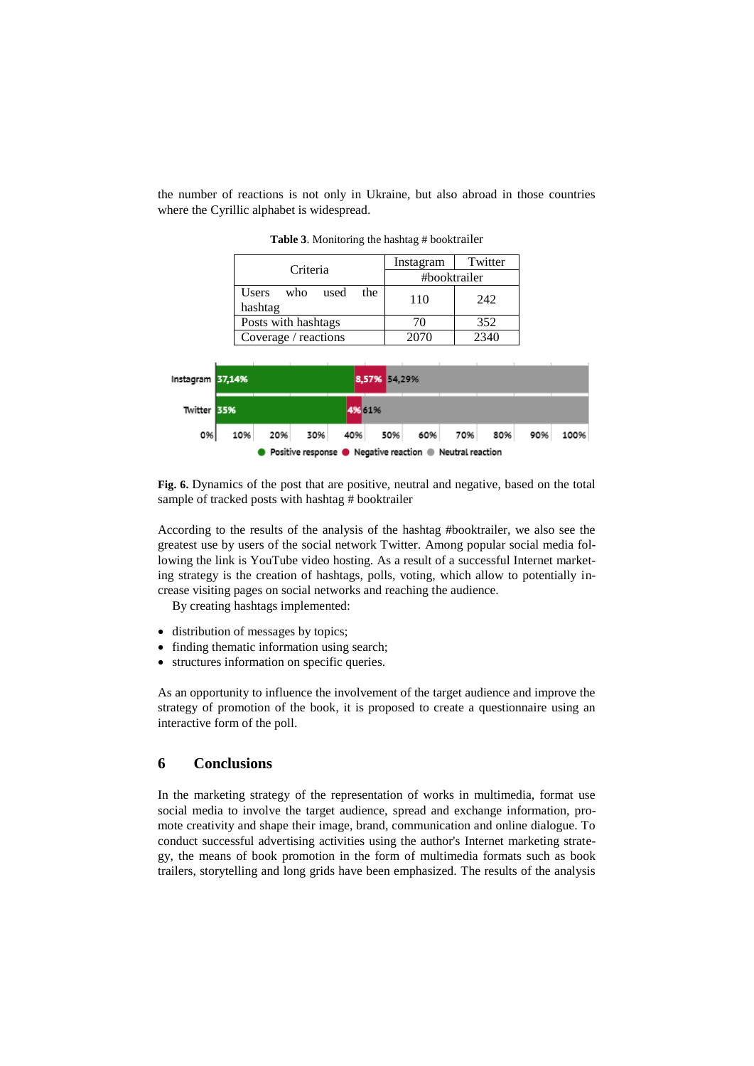the number of reactions is not only in Ukraine, but also abroad in those countries where the Cyrillic alphabet is widespread.

| Criteria                            | Instagram    | Twitter |
|-------------------------------------|--------------|---------|
|                                     | #booktrailer |         |
| Users who<br>the<br>used<br>hashtag | 110          | 242     |
| Posts with hashtags                 | 70           | 352     |
| Coverage / reactions                | 2070         | 2340    |

**Table 3**. Monitoring the hashtag # booktrailer



**Fig. 6.** Dynamics of the post that are positive, neutral and negative, based on the total sample of tracked posts with hashtag # booktrailer

According to the results of the analysis of the hashtag #booktrailer, we also see the greatest use by users of the social network Twitter. Among popular social media following the link is YouTube video hosting. As a result of a successful Internet marketing strategy is the creation of hashtags, polls, voting, which allow to potentially increase visiting pages on social networks and reaching the audience.

By creating hashtags implemented:

- distribution of messages by topics;
- finding thematic information using search;
- structures information on specific queries.

As an opportunity to influence the involvement of the target audience and improve the strategy of promotion of the book, it is proposed to create a questionnaire using an interactive form of the poll.

#### **6 Conclusions**

In the marketing strategy of the representation of works in multimedia, format use social media to involve the target audience, spread and exchange information, promote creativity and shape their image, brand, communication and online dialogue. To conduct successful advertising activities using the author's Internet marketing strategy, the means of book promotion in the form of multimedia formats such as book trailers, storytelling and long grids have been emphasized. The results of the analysis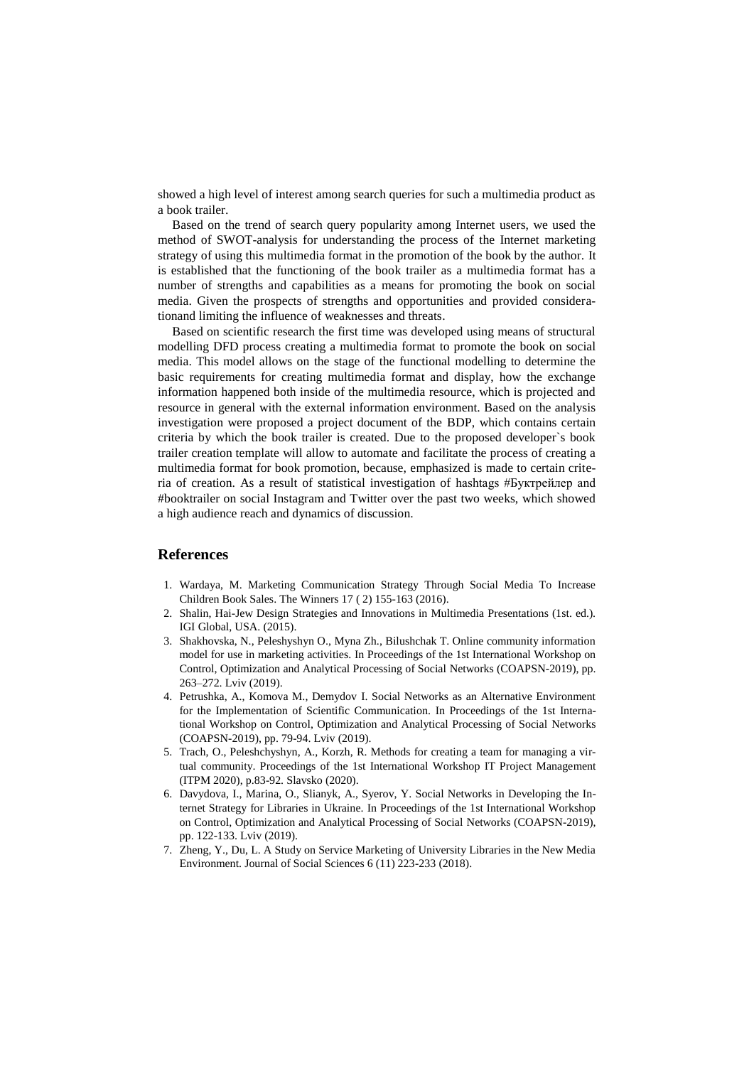showed a high level of interest among search queries for such a multimedia product as a book trailer.

Based on the trend of search query popularity among Internet users, we used the method of SWOT-analysis for understanding the process of the Internet marketing strategy of using this multimedia format in the promotion of the book by the author. It is established that the functioning of the book trailer as a multimedia format has a number of strengths and capabilities as a means for promoting the book on social media. Given the prospects of strengths and opportunities and provided considerationand limiting the influence of weaknesses and threats.

Based on scientific research the first time was developed using means of structural modelling DFD process creating a multimedia format to promote the book on social media. This model allows on the stage of the functional modelling to determine the basic requirements for creating multimedia format and display, how the exchange information happened both inside of the multimedia resource, which is projected and resource in general with the external information environment. Based on the analysis investigation were proposed a project document of the BDP, which contains certain criteria by which the book trailer is created. Due to the proposed developer`s book trailer creation template will allow to automate and facilitate the process of creating a multimedia format for book promotion, because, emphasized is made to certain criteria of creation. As a result of statistical investigation of hashtags #Буктрейлер and #booktrailer on social Instagram and Twitter over the past two weeks, which showed a high audience reach and dynamics of discussion.

#### **References**

- 1. Wardaya, M. Marketing Communication Strategy Through Social Media To Increase Children Book Sales. The Winners 17 ( 2) 155-163 (2016).
- 2. Shalin, Hai-Jew Design Strategies and Innovations in Multimedia Presentations (1st. ed.). IGI Global, USA. (2015).
- 3. Shakhovska, N., Peleshyshyn O., Myna Zh., Bilushchak T. Online community information model for use in marketing activities. In Proceedings of the 1st International Workshop on Control, Optimization and Analytical Processing of Social Networks (COAPSN-2019), pp. 263–272. Lviv (2019).
- 4. Petrushka, A., Komova M., Demydov I. Social Networks as an Alternative Environment for the Implementation of Scientific Communication. In Proceedings of the 1st International Workshop on Control, Optimization and Analytical Processing of Social Networks (COAPSN-2019), pp. 79-94. Lviv (2019).
- 5. Trach, O., Peleshchyshyn, A., Korzh, R. Methods for creating a team for managing a virtual community. Proceedings of the 1st International Workshop IT Project Management (ITPM 2020), p.83-92. Slavsko (2020).
- 6. Davydova, I., Marina, O., Slianyk, A., Syerov, Y. Social Networks in Developing the Internet Strategy for Libraries in Ukraine. In Proceedings of the 1st International Workshop on Control, Optimization and Analytical Processing of Social Networks (COAPSN-2019), pp. 122-133. Lviv (2019).
- 7. Zheng, Y., Du, L. A Study on Service Marketing of University Libraries in the New Media Environment. Journal of Social Sciences 6 (11) 223-233 (2018).